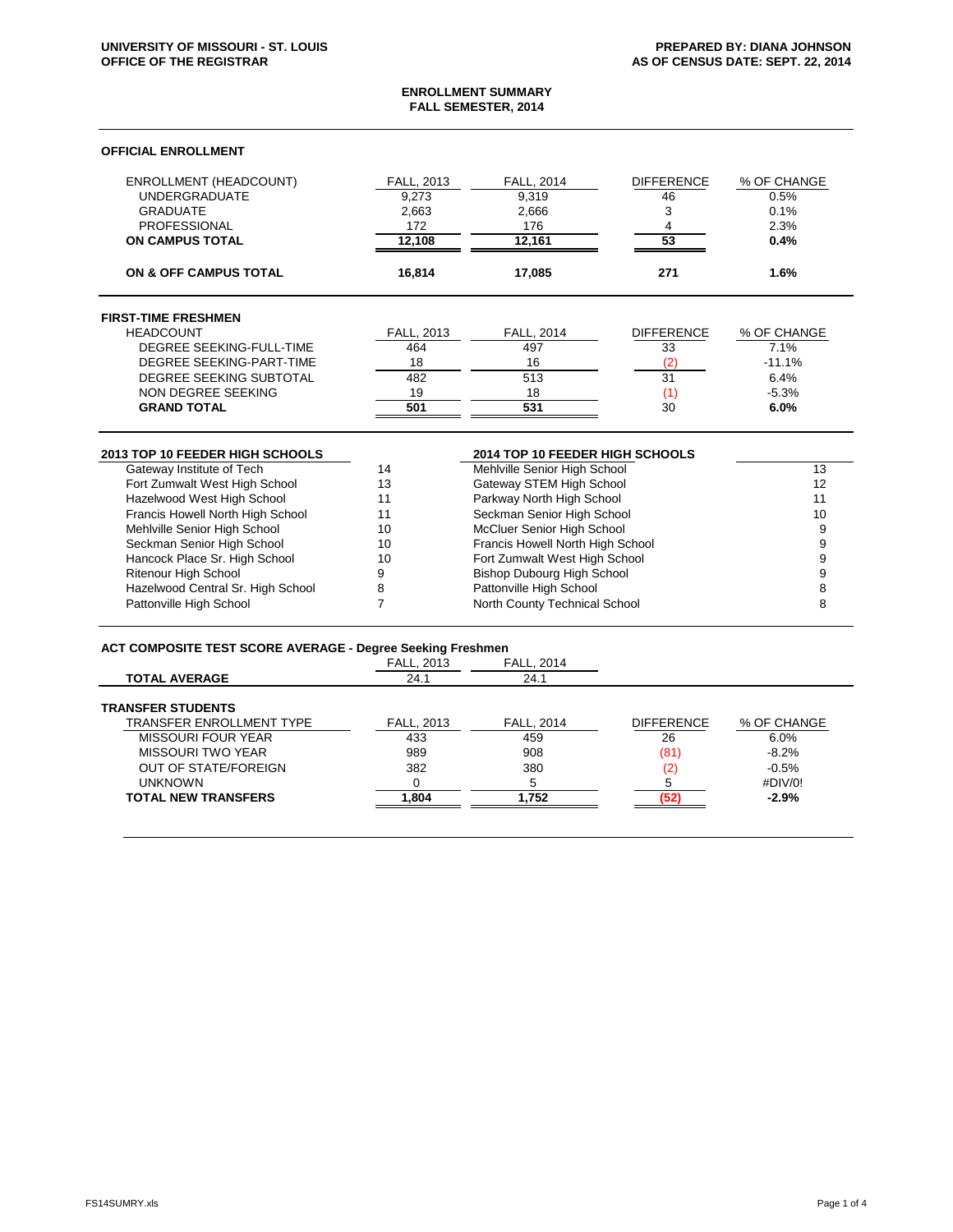### **ENROLLMENT SUMMARY FALL SEMESTER, 2014**

## **OFFICIAL ENROLLMENT**

| <b>ENROLLMENT (HEADCOUNT)</b>    | FALL, 2013 | FALL, 2014                       | <b>DIFFERENCE</b> | % OF CHANGE |
|----------------------------------|------------|----------------------------------|-------------------|-------------|
| <b>UNDERGRADUATE</b>             | 9,273      | 9,319                            | 46                | 0.5%        |
| <b>GRADUATE</b>                  | 2,663      | 2,666                            | 3                 | 0.1%        |
| <b>PROFESSIONAL</b>              | 172        | 176                              | 4                 | 2.3%        |
| <b>ON CAMPUS TOTAL</b>           | 12,108     | 12,161                           | 53                | 0.4%        |
| <b>ON &amp; OFF CAMPUS TOTAL</b> | 16,814     | 17,085                           | 271               | 1.6%        |
| <b>FIRST-TIME FRESHMEN</b>       |            |                                  |                   |             |
| <b>HEADCOUNT</b>                 | FALL, 2013 | FALL, 2014                       | <b>DIFFERENCE</b> | % OF CHANGE |
| <b>DEGREE SEEKING-FULL-TIME</b>  | 464        | 497                              | 33                | 7.1%        |
| DEGREE SEEKING-PART-TIME         | 18         | 16                               | (2)               | $-11.1%$    |
| DEGREE SEEKING SUBTOTAL          | 482        | 513                              | 31                | 6.4%        |
| NON DEGREE SEEKING               | 19         | 18                               | (1)               | $-5.3%$     |
| <b>GRAND TOTAL</b>               | 501        | 531                              | 30                | 6.0%        |
| 2013 TOP 10 FEEDER HIGH SCHOOLS  |            | 2014 TOP 10 FEEDER HIGH SCHOOLS  |                   |             |
| Gateway Institute of Tech        | 14         | Mehlville Senior High School     |                   | 13          |
| Fort Zumwalt West High School    | 13         | Gateway STEM High School         |                   | 12          |
| Hazelwood West High School       | 11         | Parkway North High School        |                   | 11          |
| Francis Howell North High School | 11         | Seckman Senior High School       |                   | 10          |
| Mehlville Senior High School     | 10         | McCluer Senior High School       | 9                 |             |
| Seckman Senior High School       | 10         | Francis Howell North High School | 9                 |             |
| Hancock Place Sr. High School    | 10         | Fort Zumwalt West High School    |                   | 9           |
| Ritenour High School             | 9          | Bishop Dubourg High School       | 9                 |             |

# **ACT COMPOSITE TEST SCORE AVERAGE - Degree Seeking Freshmen**

Hazelwood Central Sr. High School Pattonville High School

|                             | <b>POSITOS OUURING I IUDINIUI</b> |                   |                   |             |
|-----------------------------|-----------------------------------|-------------------|-------------------|-------------|
|                             | <b>FALL, 2013</b>                 | <b>FALL, 2014</b> |                   |             |
| <b>TOTAL AVERAGE</b>        | 24.1                              | 24.1              |                   |             |
| <b>TRANSFER STUDENTS</b>    |                                   |                   |                   |             |
| TRANSFER ENROLLMENT TYPE    | FALL, 2013                        | <b>FALL, 2014</b> | <b>DIFFERENCE</b> | % OF CHANGE |
| MISSOURI FOUR YEAR          | 433                               | 459               | 26                | 6.0%        |
| MISSOURI TWO YEAR           | 989                               | 908               | (81)              | $-8.2\%$    |
| <b>OUT OF STATE/FOREIGN</b> | 382                               | 380               | (2)               | $-0.5%$     |
| <b>UNKNOWN</b>              |                                   |                   |                   | #DIV/0!     |
| <b>TOTAL NEW TRANSFERS</b>  | 1.804                             | 1.752             |                   | $-2.9%$     |
|                             |                                   |                   |                   |             |

Prop. 1996. The Contract of the Bishop Dubourg High School 9<br>
8 Bishop Dubourg High School 9<br>
8 Bishop Dubourg High School 9

Patton North County Technical School 8 and 8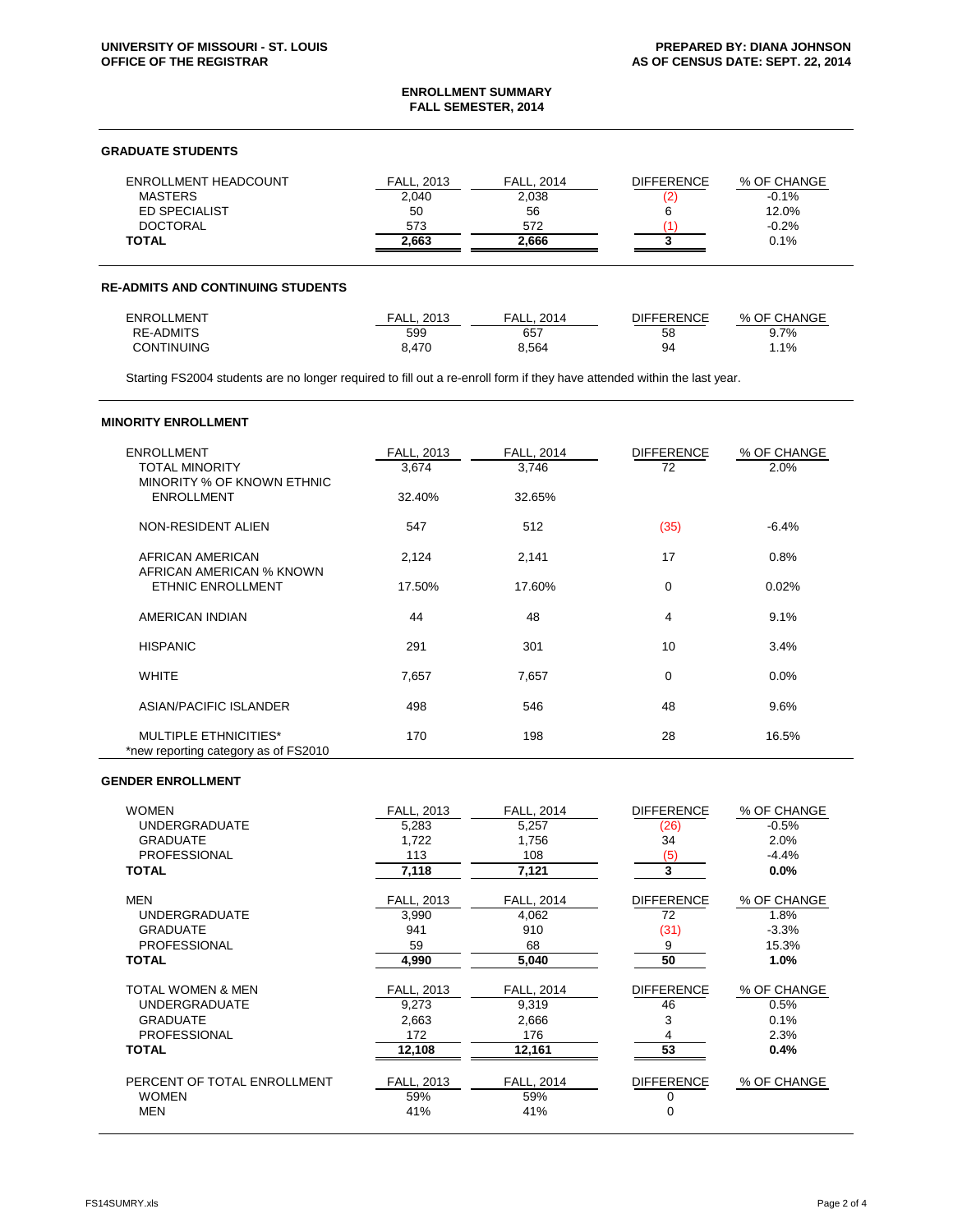## **ENROLLMENT SUMMARY FALL SEMESTER, 2014**

## **GRADUATE STUDENTS**

| ENROLLMENT HEADCOUNT | <b>FALL. 2013</b> | <b>FALL, 2014</b> | <b>DIFFERENCE</b> | % OF CHANGE |
|----------------------|-------------------|-------------------|-------------------|-------------|
| <b>MASTERS</b>       | 2,040             | 2.038             |                   | $-0.1%$     |
| <b>ED SPECIALIST</b> | 50                | 56                |                   | 12.0%       |
| <b>DOCTORAL</b>      | 573               | 572               |                   | $-0.2%$     |
| <b>TOTAL</b>         | 2.663             | 2.666             |                   | 0.1%        |

#### **RE-ADMITS AND CONTINUING STUDENTS**

| <b>ENROLLMENT</b> | FALL. 2013 | FALL.<br>2014 | DIFFERENCE | % OF CHANGE |
|-------------------|------------|---------------|------------|-------------|
| RE-ADMITS         | 599        | 657           | 58         | $9.7\%$     |
| <b>CONTINUING</b> | 470.د      | 8.564         | 94         | .1%،        |

Starting FS2004 students are no longer required to fill out a re-enroll form if they have attended within the last year.

### **MINORITY ENROLLMENT**

| <b>ENROLLMENT</b><br><b>TOTAL MINORITY</b><br>MINORITY % OF KNOWN ETHNIC | <b>FALL, 2013</b><br>3,674 | <b>FALL, 2014</b><br>3,746 | <b>DIFFERENCE</b><br>72 | % OF CHANGE<br>2.0% |
|--------------------------------------------------------------------------|----------------------------|----------------------------|-------------------------|---------------------|
| <b>ENROLLMENT</b>                                                        | 32.40%                     | 32.65%                     |                         |                     |
| NON-RESIDENT ALIEN                                                       | 547                        | 512                        | (35)                    | $-6.4%$             |
| AFRICAN AMERICAN                                                         | 2,124                      | 2,141                      | 17                      | 0.8%                |
| AFRICAN AMERICAN % KNOWN<br>ETHNIC ENROLLMENT                            | 17.50%                     | 17.60%                     | 0                       | 0.02%               |
| AMERICAN INDIAN                                                          | 44                         | 48                         | 4                       | 9.1%                |
| <b>HISPANIC</b>                                                          | 291                        | 301                        | 10                      | 3.4%                |
| <b>WHITE</b>                                                             | 7,657                      | 7,657                      | 0                       | 0.0%                |
| ASIAN/PACIFIC ISLANDER                                                   | 498                        | 546                        | 48                      | 9.6%                |
| <b>MULTIPLE ETHNICITIES*</b><br>*new reporting category as of FS2010     | 170                        | 198                        | 28                      | 16.5%               |

## **GENDER ENROLLMENT**

| <b>WOMEN</b>                                                                                                   | FALL, 2013                                    | <b>FALL, 2014</b>                                    | <b>DIFFERENCE</b>                  | % OF CHANGE                                 |
|----------------------------------------------------------------------------------------------------------------|-----------------------------------------------|------------------------------------------------------|------------------------------------|---------------------------------------------|
| <b>UNDERGRADUATE</b>                                                                                           | 5.283                                         | 5.257                                                | (26)                               | $-0.5%$                                     |
| <b>GRADUATE</b>                                                                                                | 1,722                                         | 1,756                                                | 34                                 | 2.0%                                        |
| <b>PROFESSIONAL</b>                                                                                            | 113                                           | 108                                                  | (5)                                | $-4.4%$                                     |
| <b>TOTAL</b>                                                                                                   | 7,118                                         | 7,121                                                | 3                                  | 0.0%                                        |
| <b>MEN</b>                                                                                                     | <b>FALL, 2013</b>                             | <b>FALL, 2014</b>                                    | <b>DIFFERENCE</b>                  | % OF CHANGE                                 |
| <b>UNDERGRADUATE</b>                                                                                           | 3,990                                         | 4,062                                                | 72                                 | 1.8%                                        |
| <b>GRADUATE</b>                                                                                                | 941                                           | 910                                                  | (31)                               | $-3.3%$                                     |
| <b>PROFESSIONAL</b>                                                                                            | 59                                            | 68                                                   | 9                                  | 15.3%                                       |
| <b>TOTAL</b>                                                                                                   | 4,990                                         | 5,040                                                | 50                                 | 1.0%                                        |
| <b>TOTAL WOMEN &amp; MEN</b><br><b>UNDERGRADUATE</b><br><b>GRADUATE</b><br><b>PROFESSIONAL</b><br><b>TOTAL</b> | FALL, 2013<br>9,273<br>2,663<br>172<br>12,108 | <b>FALL, 2014</b><br>9,319<br>2,666<br>176<br>12,161 | <b>DIFFERENCE</b><br>46<br>3<br>53 | % OF CHANGE<br>0.5%<br>0.1%<br>2.3%<br>0.4% |
| PERCENT OF TOTAL ENROLLMENT                                                                                    | FALL, 2013                                    | <b>FALL, 2014</b>                                    | <b>DIFFERENCE</b>                  | % OF CHANGE                                 |
| <b>WOMEN</b>                                                                                                   | 59%                                           | 59%                                                  | 0                                  |                                             |
| <b>MEN</b>                                                                                                     | 41%                                           | 41%                                                  | 0                                  |                                             |